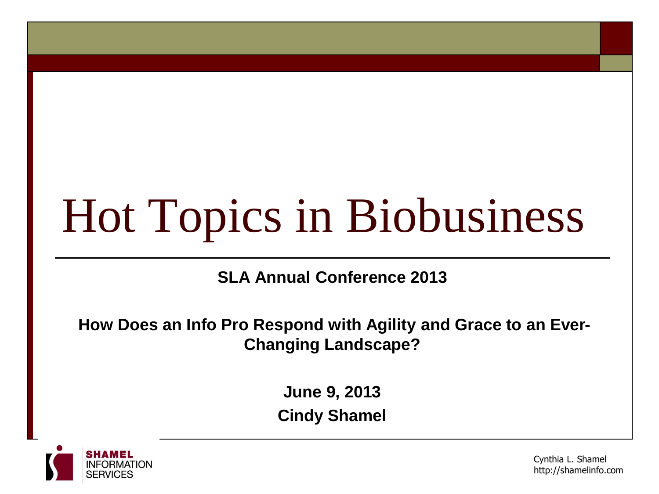# Hot Topics in Biobusiness

**SLA Annual Conference 2013**

**How Does an Info Pro Respond with Agility and Grace to an Ever-Changing Landscape?**

> **June 9, 2013 Cindy Shamel**



Cynthia L. Shamel http://shamelinfo.com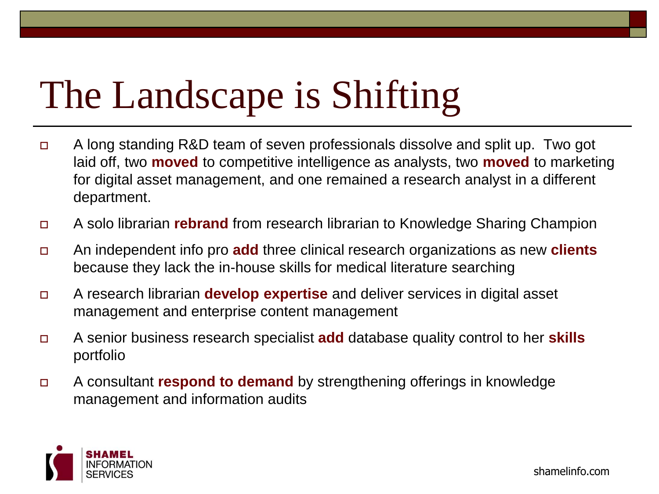# The Landscape is Shifting

- A long standing R&D team of seven professionals dissolve and split up. Two got laid off, two **moved** to competitive intelligence as analysts, two **moved** to marketing for digital asset management, and one remained a research analyst in a different department.
- A solo librarian **rebrand** from research librarian to Knowledge Sharing Champion
- An independent info pro **add** three clinical research organizations as new **clients** because they lack the in-house skills for medical literature searching
- A research librarian **develop expertise** and deliver services in digital asset management and enterprise content management
- A senior business research specialist **add** database quality control to her **skills** portfolio
- A consultant **respond to demand** by strengthening offerings in knowledge management and information audits

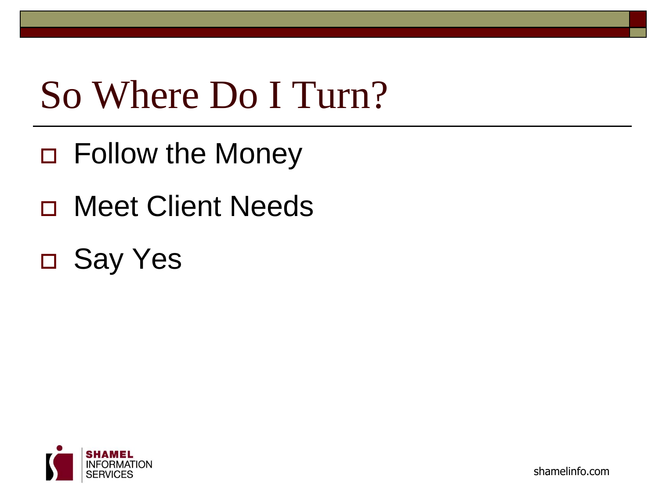### So Where Do I Turn?

- □ Follow the Money
- Meet Client Needs
- Say Yes



shamelinfo.com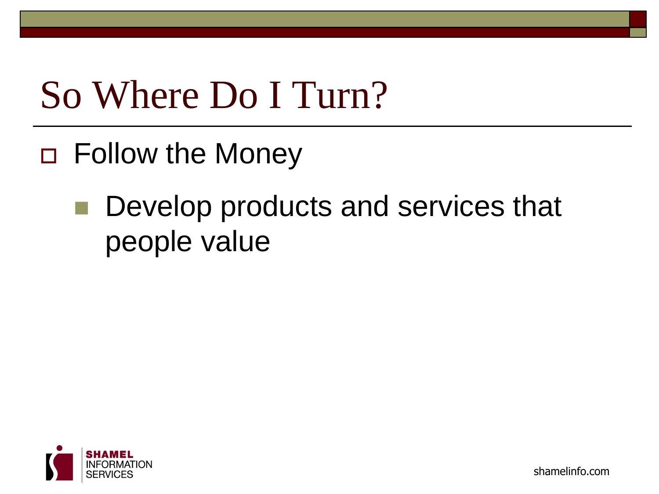### So Where Do I Turn?

- Follow the Money
	- Develop products and services that people value

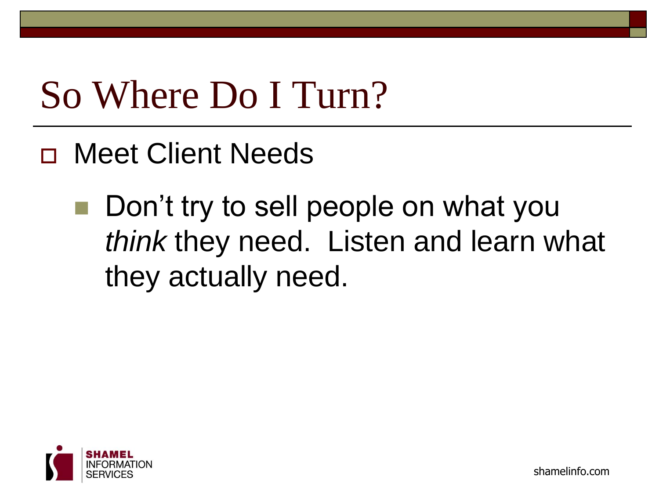### So Where Do I Turn?

- Meet Client Needs
	- Don't try to sell people on what you *think* they need. Listen and learn what they actually need.



shamelinfo.com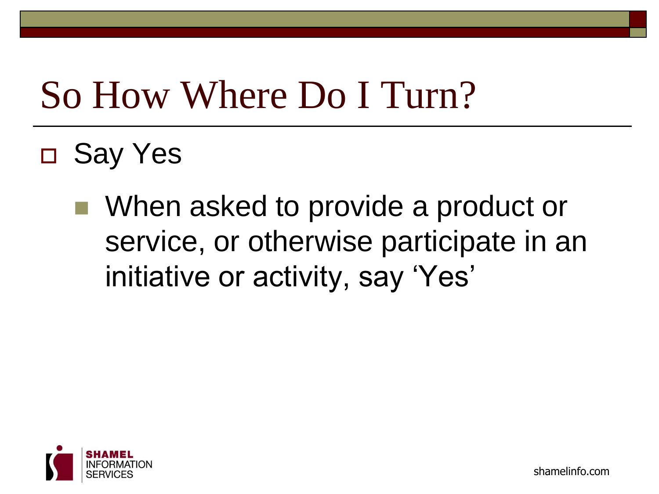#### So How Where Do I Turn?

- Say Yes
	- When asked to provide a product or service, or otherwise participate in an initiative or activity, say 'Yes'

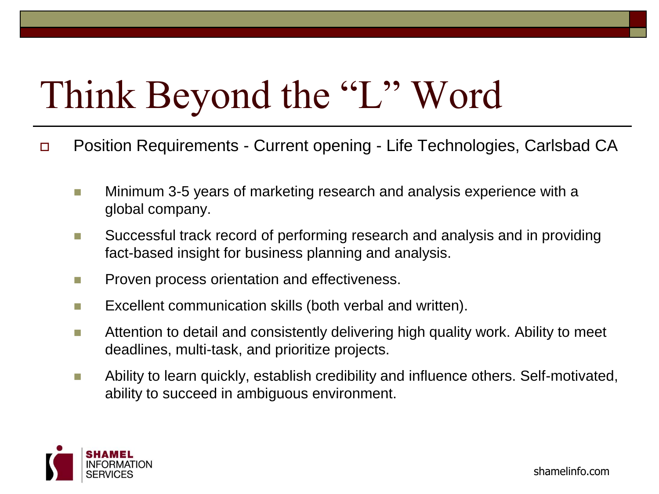#### Think Beyond the "L" Word

- Position Requirements Current opening Life Technologies, Carlsbad CA
	- **Minimum 3-5 years of marketing research and analysis experience with a** global company.
	- Successful track record of performing research and analysis and in providing fact-based insight for business planning and analysis.
	- **Proven process orientation and effectiveness.**
	- **EXCELLENT COMMUNICATION SKILLS (both verbal and written).**
	- **Attention to detail and consistently delivering high quality work. Ability to meet** deadlines, multi-task, and prioritize projects.
	- **Ability to learn quickly, establish credibility and influence others. Self-motivated,** ability to succeed in ambiguous environment.

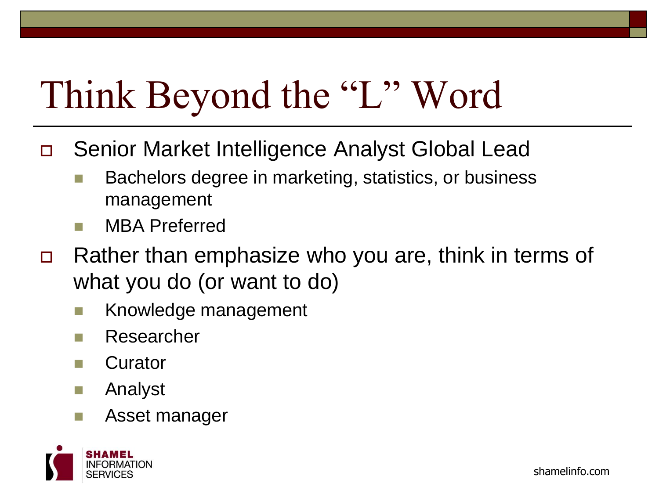### Think Beyond the "L" Word

- Senior Market Intelligence Analyst Global Lead
	- Bachelors degree in marketing, statistics, or business management
	- MBA Preferred
- Rather than emphasize who you are, think in terms of what you do (or want to do)
	- Knowledge management
	- Researcher
	- Curator
	- Analyst
	- Asset manager

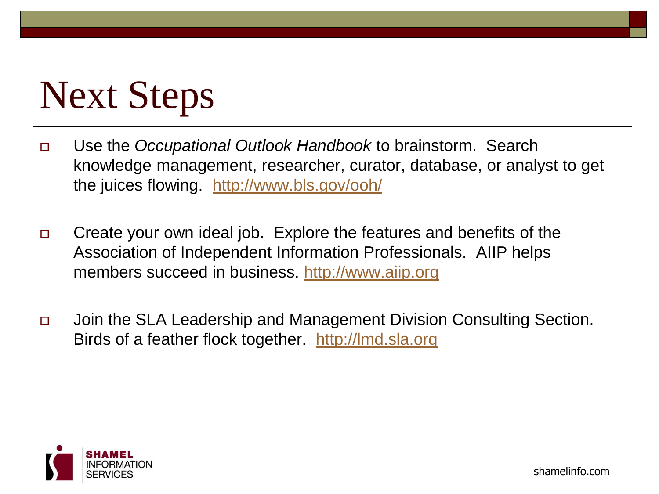## Next Steps

- Use the *Occupational Outlook Handbook* to brainstorm. Search knowledge management, researcher, curator, database, or analyst to get the juices flowing. <http://www.bls.gov/ooh/>
- □ Create your own ideal job. Explore the features and benefits of the Association of Independent Information Professionals. AIIP helps members succeed in business. [http://www.aiip.org](http://www.aiip.org/)
- Join the SLA Leadership and Management Division Consulting Section. Birds of a feather flock together. [http://lmd.sla.org](http://lmd.sla.org/)